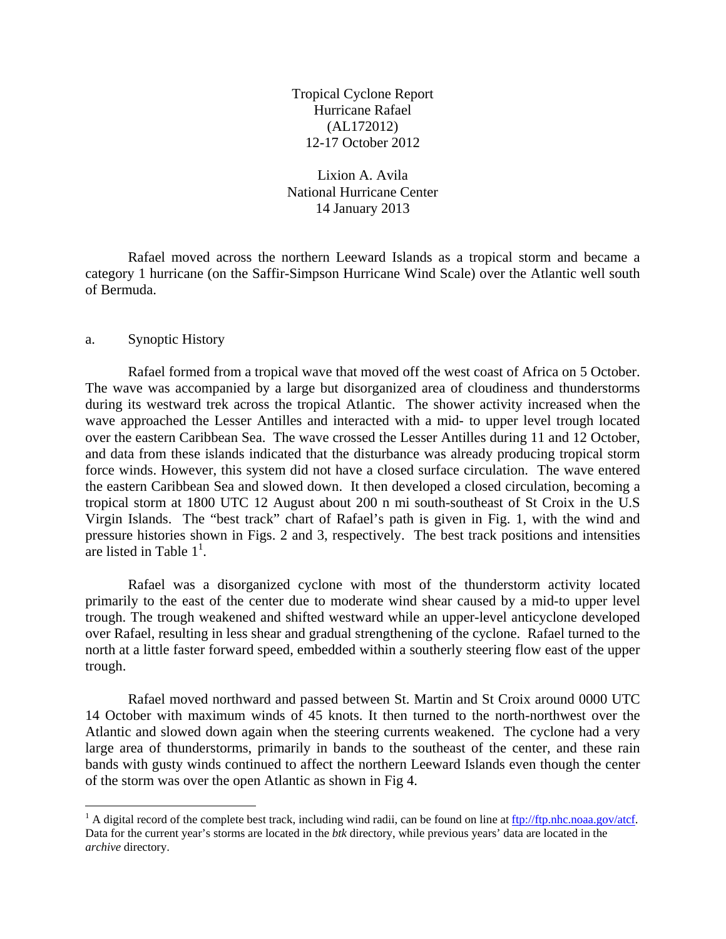Tropical Cyclone Report Hurricane Rafael (AL172012) 12-17 October 2012

Lixion A. Avila National Hurricane Center 14 January 2013

 Rafael moved across the northern Leeward Islands as a tropical storm and became a category 1 hurricane (on the Saffir-Simpson Hurricane Wind Scale) over the Atlantic well south of Bermuda.

## a. Synoptic History

 $\overline{a}$ 

Rafael formed from a tropical wave that moved off the west coast of Africa on 5 October. The wave was accompanied by a large but disorganized area of cloudiness and thunderstorms during its westward trek across the tropical Atlantic. The shower activity increased when the wave approached the Lesser Antilles and interacted with a mid- to upper level trough located over the eastern Caribbean Sea. The wave crossed the Lesser Antilles during 11 and 12 October, and data from these islands indicated that the disturbance was already producing tropical storm force winds. However, this system did not have a closed surface circulation. The wave entered the eastern Caribbean Sea and slowed down. It then developed a closed circulation, becoming a tropical storm at 1800 UTC 12 August about 200 n mi south-southeast of St Croix in the U.S Virgin Islands. The "best track" chart of Rafael's path is given in Fig. 1, with the wind and pressure histories shown in Figs. 2 and 3, respectively. The best track positions and intensities are listed in Table  $1^1$ .

Rafael was a disorganized cyclone with most of the thunderstorm activity located primarily to the east of the center due to moderate wind shear caused by a mid-to upper level trough. The trough weakened and shifted westward while an upper-level anticyclone developed over Rafael, resulting in less shear and gradual strengthening of the cyclone. Rafael turned to the north at a little faster forward speed, embedded within a southerly steering flow east of the upper trough.

Rafael moved northward and passed between St. Martin and St Croix around 0000 UTC 14 October with maximum winds of 45 knots. It then turned to the north-northwest over the Atlantic and slowed down again when the steering currents weakened. The cyclone had a very large area of thunderstorms, primarily in bands to the southeast of the center, and these rain bands with gusty winds continued to affect the northern Leeward Islands even though the center of the storm was over the open Atlantic as shown in Fig 4.

<sup>&</sup>lt;sup>1</sup> A digital record of the complete best track, including wind radii, can be found on line at  $\frac{ftp://ftp.nhc.noaa.gov/act.}$ Data for the current year's storms are located in the *btk* directory, while previous years' data are located in the *archive* directory.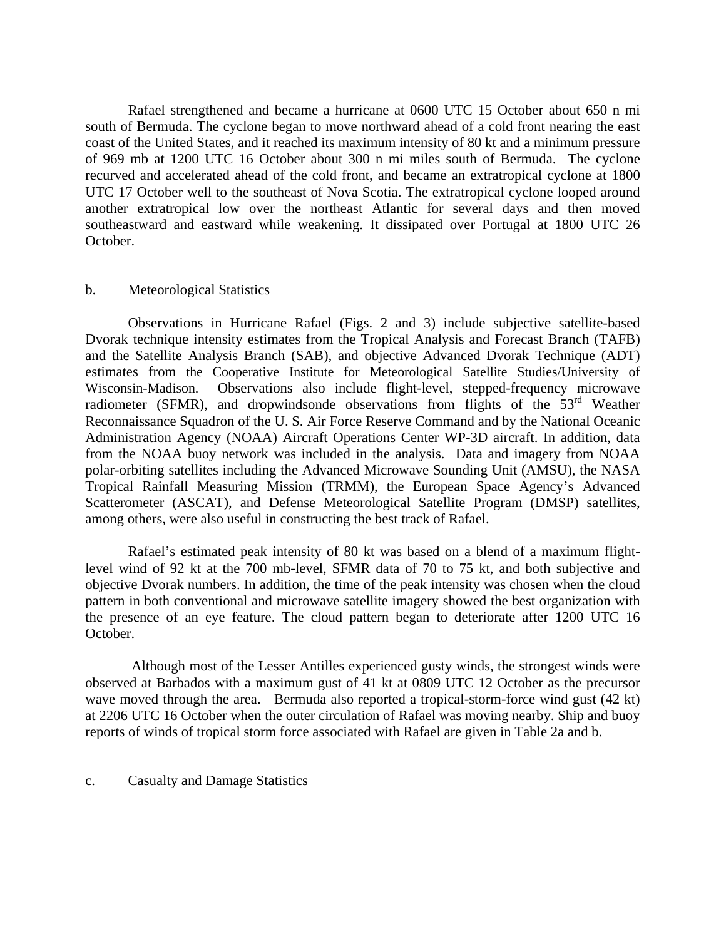Rafael strengthened and became a hurricane at 0600 UTC 15 October about 650 n mi south of Bermuda. The cyclone began to move northward ahead of a cold front nearing the east coast of the United States, and it reached its maximum intensity of 80 kt and a minimum pressure of 969 mb at 1200 UTC 16 October about 300 n mi miles south of Bermuda. The cyclone recurved and accelerated ahead of the cold front, and became an extratropical cyclone at 1800 UTC 17 October well to the southeast of Nova Scotia. The extratropical cyclone looped around another extratropical low over the northeast Atlantic for several days and then moved southeastward and eastward while weakening. It dissipated over Portugal at 1800 UTC 26 October.

## b. Meteorological Statistics

 Observations in Hurricane Rafael (Figs. 2 and 3) include subjective satellite-based Dvorak technique intensity estimates from the Tropical Analysis and Forecast Branch (TAFB) and the Satellite Analysis Branch (SAB), and objective Advanced Dvorak Technique (ADT) estimates from the Cooperative Institute for Meteorological Satellite Studies/University of Wisconsin-Madison. Observations also include flight-level, stepped-frequency microwave radiometer (SFMR), and dropwindsonde observations from flights of the  $53<sup>rd</sup>$  Weather Reconnaissance Squadron of the U. S. Air Force Reserve Command and by the National Oceanic Administration Agency (NOAA) Aircraft Operations Center WP-3D aircraft. In addition, data from the NOAA buoy network was included in the analysis. Data and imagery from NOAA polar-orbiting satellites including the Advanced Microwave Sounding Unit (AMSU), the NASA Tropical Rainfall Measuring Mission (TRMM), the European Space Agency's Advanced Scatterometer (ASCAT), and Defense Meteorological Satellite Program (DMSP) satellites, among others, were also useful in constructing the best track of Rafael.

Rafael's estimated peak intensity of 80 kt was based on a blend of a maximum flightlevel wind of 92 kt at the 700 mb-level, SFMR data of 70 to 75 kt, and both subjective and objective Dvorak numbers. In addition, the time of the peak intensity was chosen when the cloud pattern in both conventional and microwave satellite imagery showed the best organization with the presence of an eye feature. The cloud pattern began to deteriorate after 1200 UTC 16 October.

 Although most of the Lesser Antilles experienced gusty winds, the strongest winds were observed at Barbados with a maximum gust of 41 kt at 0809 UTC 12 October as the precursor wave moved through the area. Bermuda also reported a tropical-storm-force wind gust (42 kt) at 2206 UTC 16 October when the outer circulation of Rafael was moving nearby. Ship and buoy reports of winds of tropical storm force associated with Rafael are given in Table 2a and b.

c. Casualty and Damage Statistics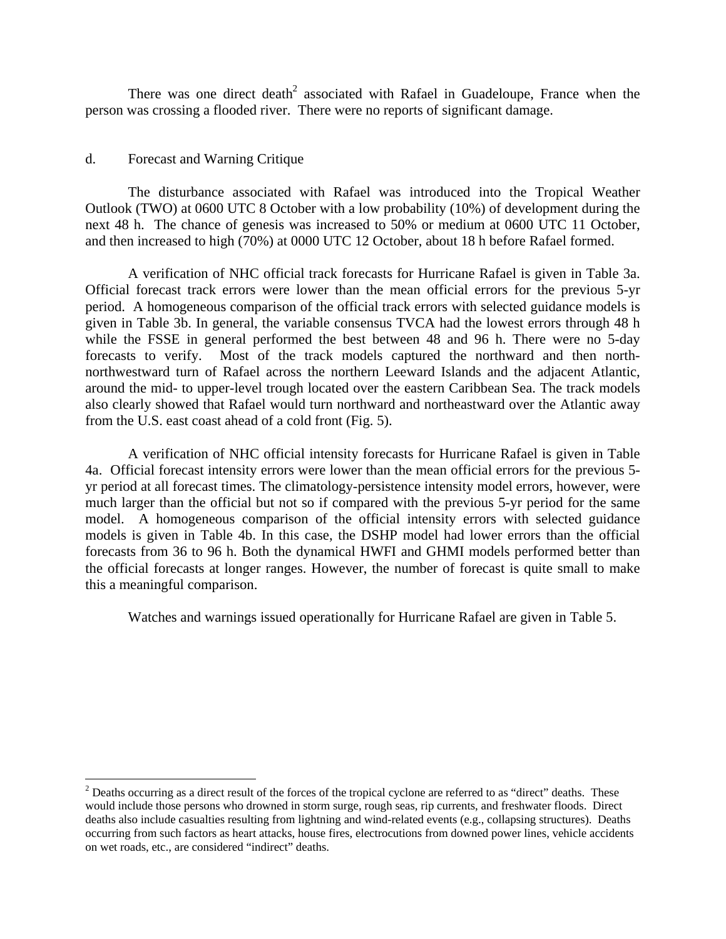There was one direct death<sup>2</sup> associated with Rafael in Guadeloupe, France when the person was crossing a flooded river. There were no reports of significant damage.

## d. Forecast and Warning Critique

 $\overline{a}$ 

The disturbance associated with Rafael was introduced into the Tropical Weather Outlook (TWO) at 0600 UTC 8 October with a low probability (10%) of development during the next 48 h. The chance of genesis was increased to 50% or medium at 0600 UTC 11 October, and then increased to high (70%) at 0000 UTC 12 October, about 18 h before Rafael formed.

A verification of NHC official track forecasts for Hurricane Rafael is given in Table 3a. Official forecast track errors were lower than the mean official errors for the previous 5-yr period. A homogeneous comparison of the official track errors with selected guidance models is given in Table 3b. In general, the variable consensus TVCA had the lowest errors through 48 h while the FSSE in general performed the best between 48 and 96 h. There were no 5-day forecasts to verify. Most of the track models captured the northward and then northnorthwestward turn of Rafael across the northern Leeward Islands and the adjacent Atlantic, around the mid- to upper-level trough located over the eastern Caribbean Sea. The track models also clearly showed that Rafael would turn northward and northeastward over the Atlantic away from the U.S. east coast ahead of a cold front (Fig. 5).

A verification of NHC official intensity forecasts for Hurricane Rafael is given in Table 4a. Official forecast intensity errors were lower than the mean official errors for the previous 5 yr period at all forecast times. The climatology-persistence intensity model errors, however, were much larger than the official but not so if compared with the previous 5-yr period for the same model. A homogeneous comparison of the official intensity errors with selected guidance models is given in Table 4b. In this case, the DSHP model had lower errors than the official forecasts from 36 to 96 h. Both the dynamical HWFI and GHMI models performed better than the official forecasts at longer ranges. However, the number of forecast is quite small to make this a meaningful comparison.

Watches and warnings issued operationally for Hurricane Rafael are given in Table 5.

 $2^{2}$  Deaths occurring as a direct result of the forces of the tropical cyclone are referred to as "direct" deaths. These would include those persons who drowned in storm surge, rough seas, rip currents, and freshwater floods. Direct deaths also include casualties resulting from lightning and wind-related events (e.g., collapsing structures). Deaths occurring from such factors as heart attacks, house fires, electrocutions from downed power lines, vehicle accidents on wet roads, etc., are considered "indirect" deaths.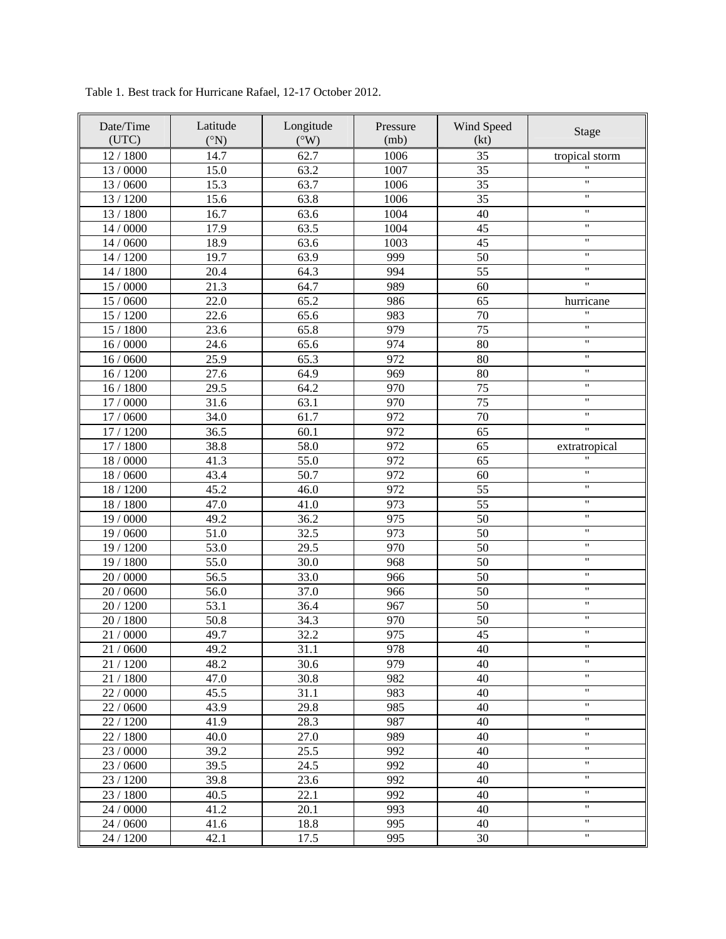| Date/Time<br>(UTC) | Latitude<br>$({}^{\circ}N)$ | Longitude<br>$({}^{\circ}W)$ | Pressure<br>(mb) | Wind Speed<br>(kt) | Stage                        |
|--------------------|-----------------------------|------------------------------|------------------|--------------------|------------------------------|
| 12/1800            | 14.7                        | 62.7                         | 1006             | 35                 | tropical storm               |
| 13 / 0000          | 15.0                        | 63.2                         | 1007             | 35                 | $\pmb{\mathsf{H}}$           |
| 13 / 0600          | 15.3                        | 63.7                         | 1006             | 35                 | $\pmb{\mathsf{H}}$           |
| 13 / 1200          | 15.6                        | 63.8                         | 1006             | 35                 | $\mathbf{H}$                 |
| 13 / 1800          | 16.7                        | 63.6                         | 1004             | 40                 | $\pmb{\mathsf{H}}$           |
| 14 / 0000          | 17.9                        | 63.5                         | 1004             | 45                 | $\pmb{\mathsf{H}}$           |
| 14 / 0600          | 18.9                        | 63.6                         | 1003             | 45                 | $\pmb{\mathsf{H}}$           |
| 14 / 1200          | 19.7                        | 63.9                         | 999              | 50                 | $\pmb{\mathsf{H}}$           |
| 14 / 1800          | 20.4                        | 64.3                         | 994              | 55                 | 11                           |
| 15 / 0000          | 21.3                        | 64.7                         | 989              | 60                 | Ħ                            |
| 15 / 0600          | 22.0                        | 65.2                         | 986              | 65                 | hurricane                    |
| 15 / 1200          | 22.6                        | 65.6                         | 983              | 70                 | $\pmb{\mathsf{H}}$           |
| 15 / 1800          | 23.6                        | 65.8                         | 979              | 75                 | $\pmb{\mathsf{H}}$           |
| 16/0000            | 24.6                        | 65.6                         | 974              | 80                 | $\pmb{\mathsf{H}}$           |
| 16 / 0600          | 25.9                        | 65.3                         | 972              | 80                 | $\pmb{\mathsf{H}}$           |
| 16 / 1200          | 27.6                        | 64.9                         | 969              | 80                 | Ħ                            |
| 16/1800            | 29.5                        | 64.2                         | 970              | 75                 | Ħ                            |
| 17 / 0000          | 31.6                        | 63.1                         | 970              | 75                 | $\pmb{\mathsf{H}}$           |
| 17 / 0600          | 34.0                        | 61.7                         | 972              | 70                 | $\pmb{\mathsf{H}}$           |
| 17 / 1200          | 36.5                        | 60.1                         | 972              | 65                 | Ħ                            |
| 17 / 1800          | 38.8                        | 58.0                         | 972              | 65                 | extratropical                |
| $18/0000$          | 41.3                        | 55.0                         | 972              | 65                 | $\mathbf{H}$                 |
| $18/0600$          | 43.4                        | 50.7                         | 972              | 60                 | Ħ                            |
| 18 / 1200          | 45.2                        | 46.0                         | 972              | 55                 | $\pmb{\mathsf{H}}$           |
| $18\,/\,1800$      | 47.0                        | 41.0                         | 973              | $\overline{55}$    | $\pmb{\mathsf{H}}$           |
| 19 / 0000          | 49.2                        | 36.2                         | 975              | $\overline{50}$    | "                            |
| 19 / 0600          | 51.0                        | 32.5                         | 973              | 50                 | "                            |
| 19 / 1200          | 53.0                        | 29.5                         | 970              | 50                 | $\pmb{\mathsf{H}}$           |
| 19 / 1800          | 55.0                        | 30.0                         | 968              | 50                 | $\pmb{\mathsf{H}}$           |
| 20 / 0000          | 56.5                        | 33.0                         | 966              | 50                 | $\pmb{\mathsf{H}}$           |
| 20 / 0600          | 56.0                        | 37.0                         | 966              | 50                 | $\pmb{\mathsf{H}}$           |
| 20 / 1200          | 53.1                        | 36.4                         | 967              | 50                 | $\pmb{\mathsf{H}}$           |
| 20 / 1800          | 50.8                        | 34.3                         | 970              | 50                 | 11                           |
| 21 / 0000          | 49.7                        | 32.2                         | 975              | 45                 | Ħ                            |
| 21/0600            | 49.2                        | 31.1                         | 978              | 40                 | "                            |
| 21 / 1200          | 48.2                        | 30.6                         | 979              | 40                 | $\pmb{\mathsf{H}}$           |
| 21 / 1800          | 47.0                        | 30.8                         | 982              | 40                 | $\mathbf{H}$                 |
| 22 / 0000          | 45.5                        | 31.1                         | 983              | 40                 | $\mathbf{H}$                 |
| 22 / 0600          | 43.9                        | 29.8                         | 985              | 40                 | 11                           |
| 22 / 1200          | 41.9                        | 28.3                         | 987              | 40                 | $\pmb{\mathsf{H}}$           |
| 22 / 1800          | 40.0                        | 27.0                         | 989              | 40                 | $\pmb{\mathsf{H}}$           |
| 23 / 0000          | 39.2                        | 25.5                         | 992              | 40                 | $\mathbf{H}$<br>$\mathbf{H}$ |
| 23 / 0600          | 39.5                        | 24.5                         | 992              | 40                 | $\mathbf{H}$                 |
| 23 / 1200          | 39.8                        | 23.6                         | 992              | 40                 | 11                           |
| 23 / 1800          | 40.5                        | 22.1                         | 992              | 40                 | $\mathbf{H}$                 |
| 24 / 0000          | 41.2                        | 20.1                         | 993              | 40                 | $\mathbf{H}$                 |
| 24 / 0600          | 41.6                        | 18.8                         | 995              | 40                 | $\mathbf{H}$                 |
| 24 / 1200          | 42.1                        | 17.5                         | 995              | 30                 |                              |

Table 1. Best track for Hurricane Rafael, 12-17 October 2012.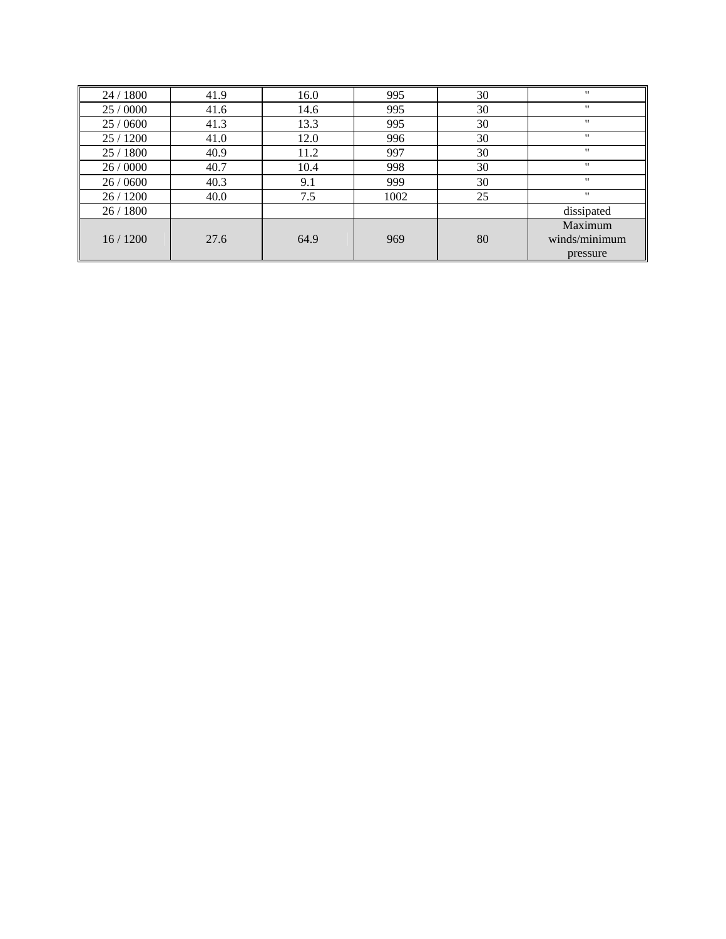| 24 / 1800 | 41.9 | 16.0 | 995  | 30 |                   |
|-----------|------|------|------|----|-------------------|
| 25 / 0000 | 41.6 | 14.6 | 995  | 30 |                   |
| 25 / 0600 | 41.3 | 13.3 | 995  | 30 | "                 |
| 25 / 1200 | 41.0 | 12.0 | 996  | 30 | "                 |
| 25 / 1800 | 40.9 | 11.2 | 997  | 30 | $^{\prime\prime}$ |
| 26/0000   | 40.7 | 10.4 | 998  | 30 |                   |
| 26/0600   | 40.3 | 9.1  | 999  | 30 | "                 |
| 26/1200   | 40.0 | 7.5  | 1002 | 25 | "                 |
| 26/1800   |      |      |      |    | dissipated        |
|           |      |      |      |    | Maximum           |
| 16/1200   | 27.6 | 64.9 | 969  | 80 | winds/minimum     |
|           |      |      |      |    | pressure          |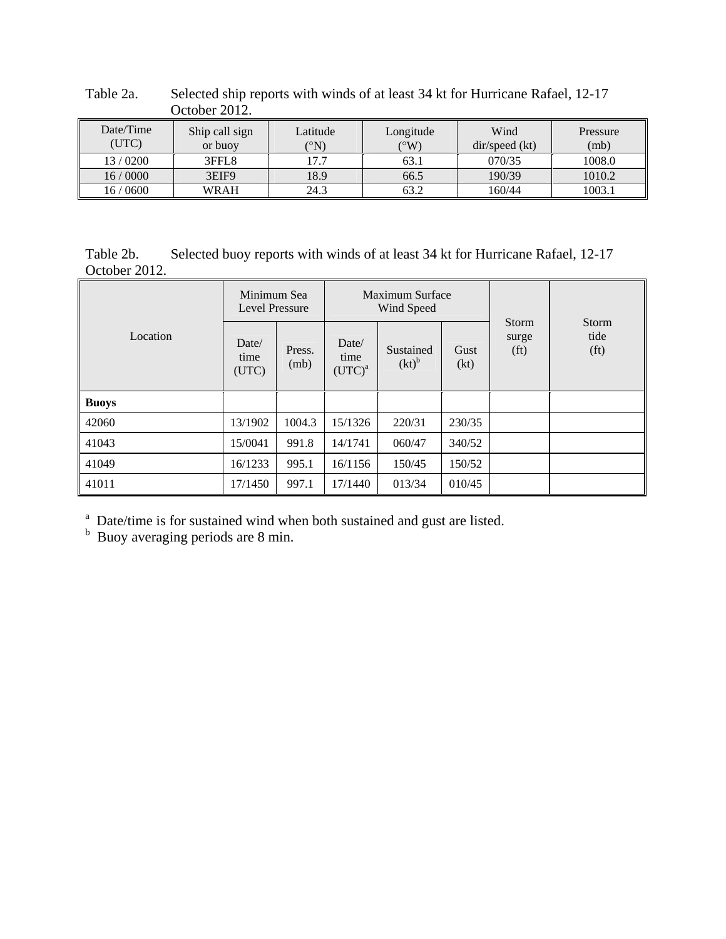|                    | OUWUU ZUIZ.               |                  |                   |                        |                  |
|--------------------|---------------------------|------------------|-------------------|------------------------|------------------|
| Date/Time<br>(UTC) | Ship call sign<br>or buoy | Latitude<br>(°N) | Longitude<br>(°W) | Wind<br>dir/speed (kt) | Pressure<br>(mb) |
| 13/0200            | 3FFL8                     | 17.7             | 63.1              | 070/35                 | 1008.0           |
| 16/0000            | 3EIF9                     | 18.9             | 66.5              | 190/39                 | 1010.2           |
| 16 / 0600          | WRAH                      | 24.3             | 63.2              | 160/44                 | 1003.1           |

Table 2a. Selected ship reports with winds of at least 34 kt for Hurricane Rafael, 12-17 October 2012.

Table 2b. Selected buoy reports with winds of at least 34 kt for Hurricane Rafael, 12-17 October 2012.

|              | Minimum Sea<br>Level Pressure |                |                            | Maximum Surface<br>Wind Speed |              |                                     |                                           |
|--------------|-------------------------------|----------------|----------------------------|-------------------------------|--------------|-------------------------------------|-------------------------------------------|
| Location     | Date/<br>time<br>(UTC)        | Press.<br>(mb) | Date/<br>time<br>$(UTC)^a$ | Sustained<br>$(kt)^{b}$       | Gust<br>(kt) | Storm<br>surge<br>(f <sub>t</sub> ) | <b>Storm</b><br>tide<br>(f <sub>t</sub> ) |
| <b>Buoys</b> |                               |                |                            |                               |              |                                     |                                           |
| 42060        | 13/1902                       | 1004.3         | 15/1326                    | 220/31                        | 230/35       |                                     |                                           |
| 41043        | 15/0041                       | 991.8          | 14/1741                    | 060/47                        | 340/52       |                                     |                                           |
| 41049        | 16/1233                       | 995.1          | 16/1156                    | 150/45                        | 150/52       |                                     |                                           |
| 41011        | 17/1450                       | 997.1          | 17/1440                    | 013/34                        | 010/45       |                                     |                                           |

<sup>a</sup> Date/time is for sustained wind when both sustained and gust are listed.<br><sup>b</sup> Buoy averaging periods are 8 min.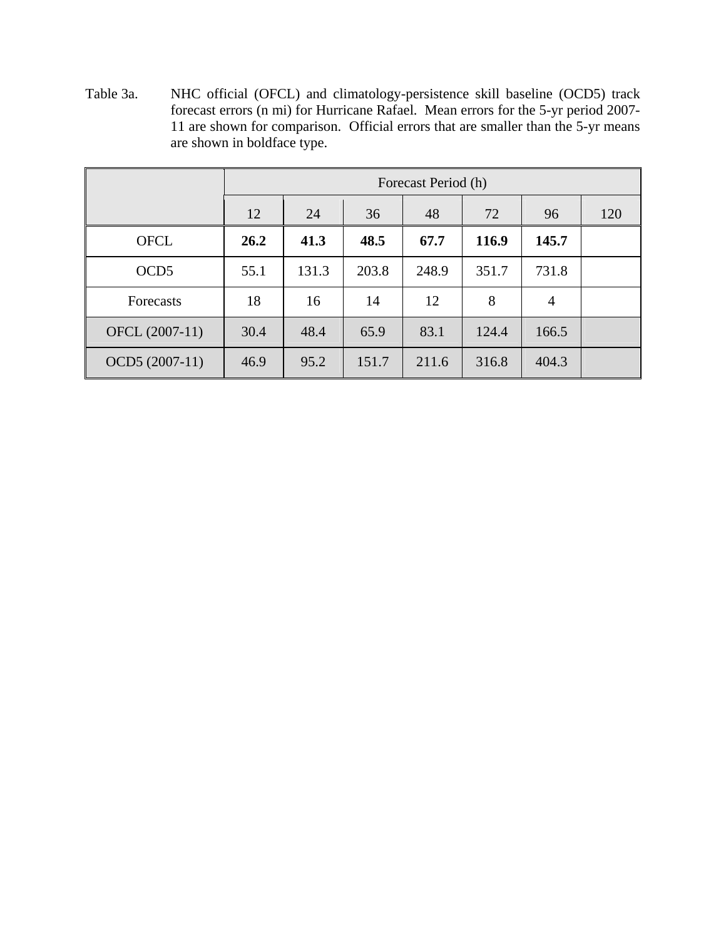Table 3a. NHC official (OFCL) and climatology-persistence skill baseline (OCD5) track forecast errors (n mi) for Hurricane Rafael. Mean errors for the 5-yr period 2007- 11 are shown for comparison. Official errors that are smaller than the 5-yr means are shown in boldface type.

|                  |      | Forecast Period (h) |       |       |       |                |     |
|------------------|------|---------------------|-------|-------|-------|----------------|-----|
|                  | 12   | 24                  | 36    | 48    | 72    | 96             | 120 |
| <b>OFCL</b>      | 26.2 | 41.3                | 48.5  | 67.7  | 116.9 | 145.7          |     |
| OCD <sub>5</sub> | 55.1 | 131.3               | 203.8 | 248.9 | 351.7 | 731.8          |     |
| Forecasts        | 18   | 16                  | 14    | 12    | 8     | $\overline{4}$ |     |
| OFCL (2007-11)   | 30.4 | 48.4                | 65.9  | 83.1  | 124.4 | 166.5          |     |
| OCD5 (2007-11)   | 46.9 | 95.2                | 151.7 | 211.6 | 316.8 | 404.3          |     |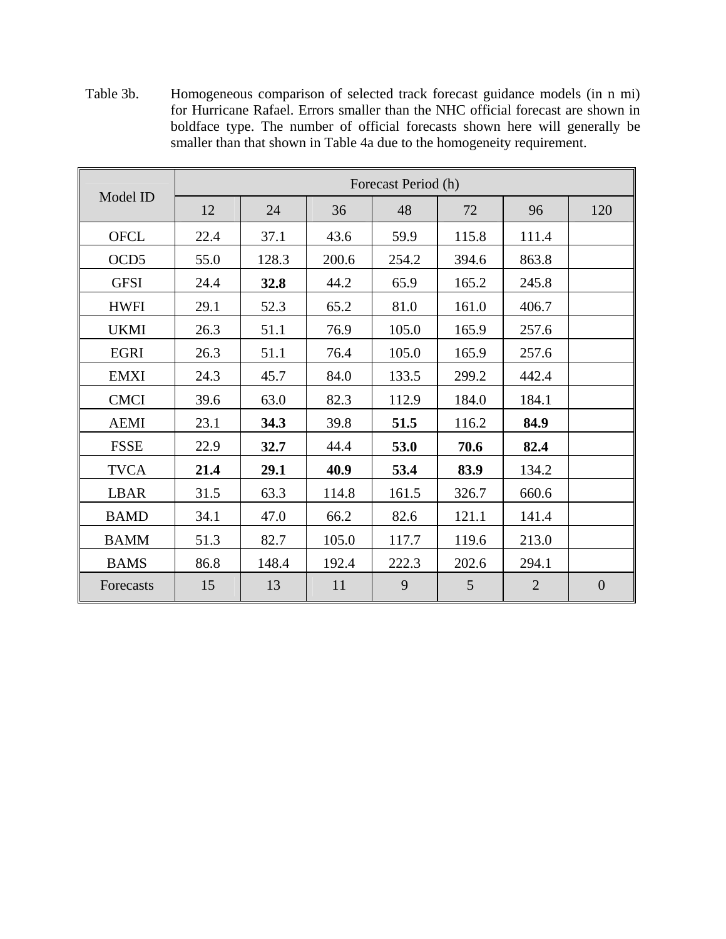Table 3b. Homogeneous comparison of selected track forecast guidance models (in n mi) for Hurricane Rafael. Errors smaller than the NHC official forecast are shown in boldface type. The number of official forecasts shown here will generally be smaller than that shown in Table 4a due to the homogeneity requirement.

|                  | Forecast Period (h) |       |       |       |       |                |                  |
|------------------|---------------------|-------|-------|-------|-------|----------------|------------------|
| Model ID         | 12                  | 24    | 36    | 48    | 72    | 96             | 120              |
| <b>OFCL</b>      | 22.4                | 37.1  | 43.6  | 59.9  | 115.8 | 111.4          |                  |
| OCD <sub>5</sub> | 55.0                | 128.3 | 200.6 | 254.2 | 394.6 | 863.8          |                  |
| <b>GFSI</b>      | 24.4                | 32.8  | 44.2  | 65.9  | 165.2 | 245.8          |                  |
| <b>HWFI</b>      | 29.1                | 52.3  | 65.2  | 81.0  | 161.0 | 406.7          |                  |
| <b>UKMI</b>      | 26.3                | 51.1  | 76.9  | 105.0 | 165.9 | 257.6          |                  |
| <b>EGRI</b>      | 26.3                | 51.1  | 76.4  | 105.0 | 165.9 | 257.6          |                  |
| <b>EMXI</b>      | 24.3                | 45.7  | 84.0  | 133.5 | 299.2 | 442.4          |                  |
| <b>CMCI</b>      | 39.6                | 63.0  | 82.3  | 112.9 | 184.0 | 184.1          |                  |
| <b>AEMI</b>      | 23.1                | 34.3  | 39.8  | 51.5  | 116.2 | 84.9           |                  |
| <b>FSSE</b>      | 22.9                | 32.7  | 44.4  | 53.0  | 70.6  | 82.4           |                  |
| <b>TVCA</b>      | 21.4                | 29.1  | 40.9  | 53.4  | 83.9  | 134.2          |                  |
| <b>LBAR</b>      | 31.5                | 63.3  | 114.8 | 161.5 | 326.7 | 660.6          |                  |
| <b>BAMD</b>      | 34.1                | 47.0  | 66.2  | 82.6  | 121.1 | 141.4          |                  |
| <b>BAMM</b>      | 51.3                | 82.7  | 105.0 | 117.7 | 119.6 | 213.0          |                  |
| <b>BAMS</b>      | 86.8                | 148.4 | 192.4 | 222.3 | 202.6 | 294.1          |                  |
| Forecasts        | 15                  | 13    | 11    | 9     | 5     | $\overline{2}$ | $\boldsymbol{0}$ |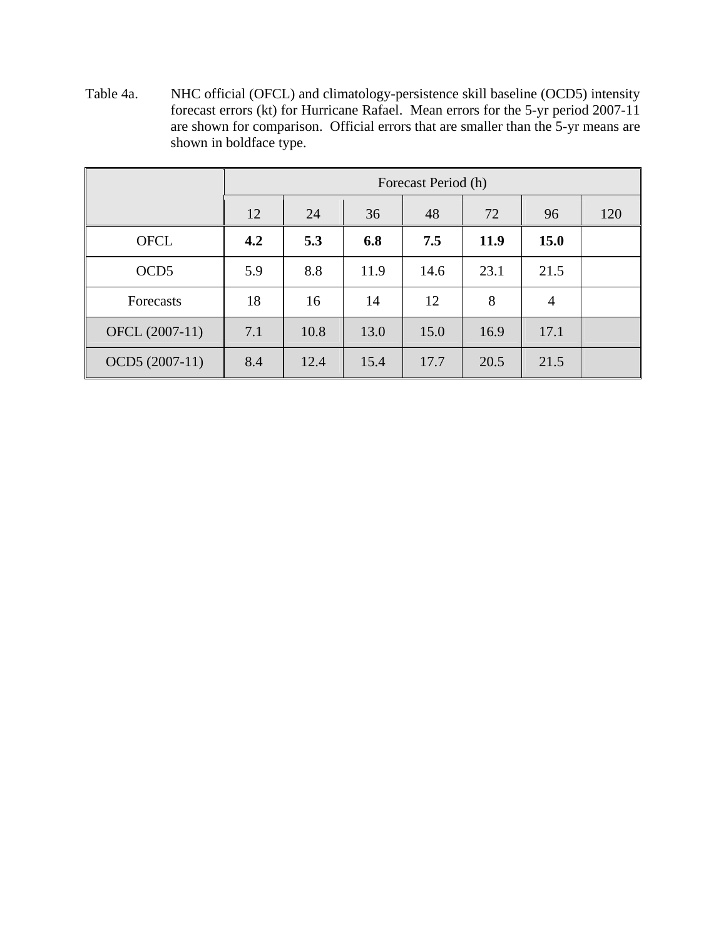Table 4a. NHC official (OFCL) and climatology-persistence skill baseline (OCD5) intensity forecast errors (kt) for Hurricane Rafael. Mean errors for the 5-yr period 2007-11 are shown for comparison. Official errors that are smaller than the 5-yr means are shown in boldface type.

|                  |     | Forecast Period (h) |      |      |      |                |     |
|------------------|-----|---------------------|------|------|------|----------------|-----|
|                  | 12  | 24                  | 36   | 48   | 72   | 96             | 120 |
| <b>OFCL</b>      | 4.2 | 5.3                 | 6.8  | 7.5  | 11.9 | <b>15.0</b>    |     |
| OCD <sub>5</sub> | 5.9 | 8.8                 | 11.9 | 14.6 | 23.1 | 21.5           |     |
| Forecasts        | 18  | 16                  | 14   | 12   | 8    | $\overline{4}$ |     |
| OFCL (2007-11)   | 7.1 | 10.8                | 13.0 | 15.0 | 16.9 | 17.1           |     |
| OCD5 (2007-11)   | 8.4 | 12.4                | 15.4 | 17.7 | 20.5 | 21.5           |     |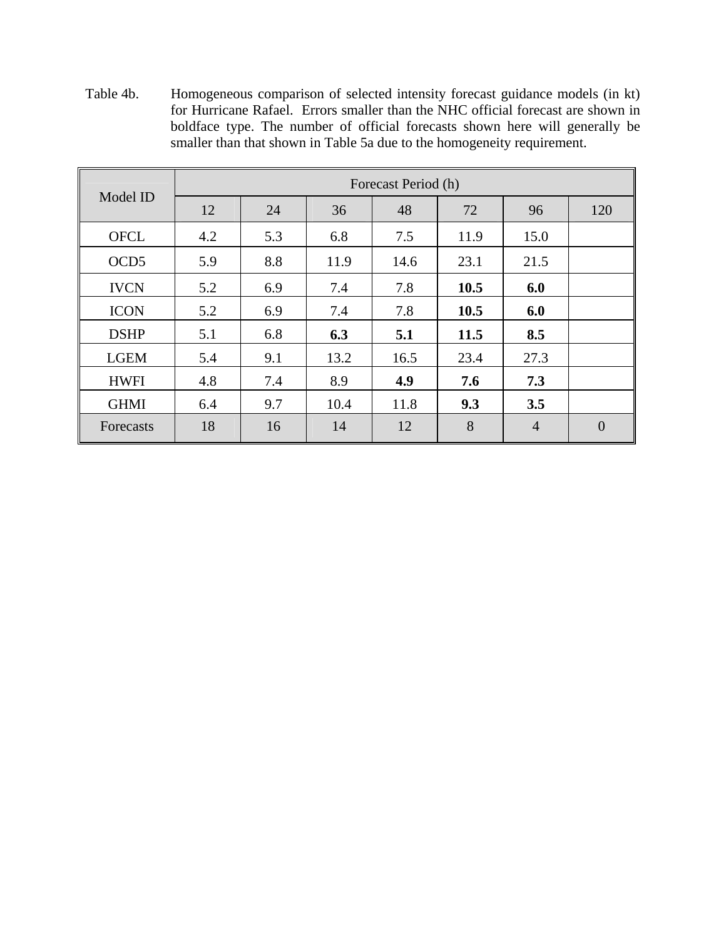Table 4b. Homogeneous comparison of selected intensity forecast guidance models (in kt) for Hurricane Rafael. Errors smaller than the NHC official forecast are shown in boldface type. The number of official forecasts shown here will generally be smaller than that shown in Table 5a due to the homogeneity requirement.

|                  | Forecast Period (h) |     |      |      |      |                |                |  |
|------------------|---------------------|-----|------|------|------|----------------|----------------|--|
| Model ID         | 12                  | 24  | 36   | 48   | 72   | 96             | 120            |  |
| <b>OFCL</b>      | 4.2                 | 5.3 | 6.8  | 7.5  | 11.9 | 15.0           |                |  |
| OCD <sub>5</sub> | 5.9                 | 8.8 | 11.9 | 14.6 | 23.1 | 21.5           |                |  |
| <b>IVCN</b>      | 5.2                 | 6.9 | 7.4  | 7.8  | 10.5 | 6.0            |                |  |
| <b>ICON</b>      | 5.2                 | 6.9 | 7.4  | 7.8  | 10.5 | 6.0            |                |  |
| <b>DSHP</b>      | 5.1                 | 6.8 | 6.3  | 5.1  | 11.5 | 8.5            |                |  |
| <b>LGEM</b>      | 5.4                 | 9.1 | 13.2 | 16.5 | 23.4 | 27.3           |                |  |
| <b>HWFI</b>      | 4.8                 | 7.4 | 8.9  | 4.9  | 7.6  | 7.3            |                |  |
| <b>GHMI</b>      | 6.4                 | 9.7 | 10.4 | 11.8 | 9.3  | 3.5            |                |  |
| Forecasts        | 18                  | 16  | 14   | 12   | 8    | $\overline{4}$ | $\overline{0}$ |  |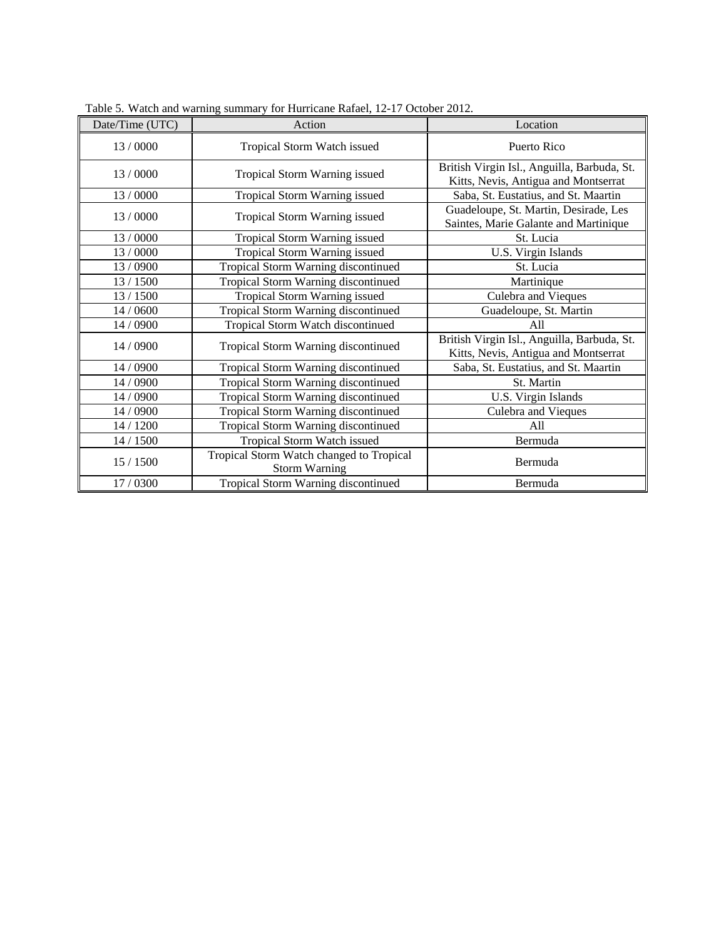| Date/Time (UTC) | Action                                                           | Location                                                                            |
|-----------------|------------------------------------------------------------------|-------------------------------------------------------------------------------------|
| 13/0000         | Tropical Storm Watch issued                                      | Puerto Rico                                                                         |
| 13/0000         | Tropical Storm Warning issued                                    | British Virgin Isl., Anguilla, Barbuda, St.<br>Kitts, Nevis, Antigua and Montserrat |
| 13/0000         | Tropical Storm Warning issued                                    | Saba, St. Eustatius, and St. Maartin                                                |
| 13/0000         | Tropical Storm Warning issued                                    | Guadeloupe, St. Martin, Desirade, Les<br>Saintes, Marie Galante and Martinique      |
| 13/0000         | Tropical Storm Warning issued                                    | St. Lucia                                                                           |
| 13 / 0000       | Tropical Storm Warning issued                                    | U.S. Virgin Islands                                                                 |
| 13/0900         | Tropical Storm Warning discontinued                              | St. Lucia                                                                           |
| 13 / 1500       | Tropical Storm Warning discontinued                              | Martinique                                                                          |
| 13/1500         | Tropical Storm Warning issued                                    | Culebra and Vieques                                                                 |
| 14 / 0600       | Tropical Storm Warning discontinued                              | Guadeloupe, St. Martin                                                              |
| 14 / 0900       | Tropical Storm Watch discontinued                                | A11                                                                                 |
| 14 / 0900       | Tropical Storm Warning discontinued                              | British Virgin Isl., Anguilla, Barbuda, St.<br>Kitts, Nevis, Antigua and Montserrat |
| 14 / 0900       | Tropical Storm Warning discontinued                              | Saba, St. Eustatius, and St. Maartin                                                |
| 14 / 0900       | Tropical Storm Warning discontinued                              | St. Martin                                                                          |
| 14 / 0900       | Tropical Storm Warning discontinued                              | U.S. Virgin Islands                                                                 |
| 14 / 0900       | Tropical Storm Warning discontinued                              | Culebra and Vieques                                                                 |
| 14 / 1200       | Tropical Storm Warning discontinued                              | All                                                                                 |
| 14 / 1500       | Tropical Storm Watch issued                                      | Bermuda                                                                             |
| 15 / 1500       | Tropical Storm Watch changed to Tropical<br><b>Storm Warning</b> | Bermuda                                                                             |
| 17 / 0300       | Tropical Storm Warning discontinued                              | Bermuda                                                                             |

Table 5. Watch and warning summary for Hurricane Rafael, 12-17 October 2012.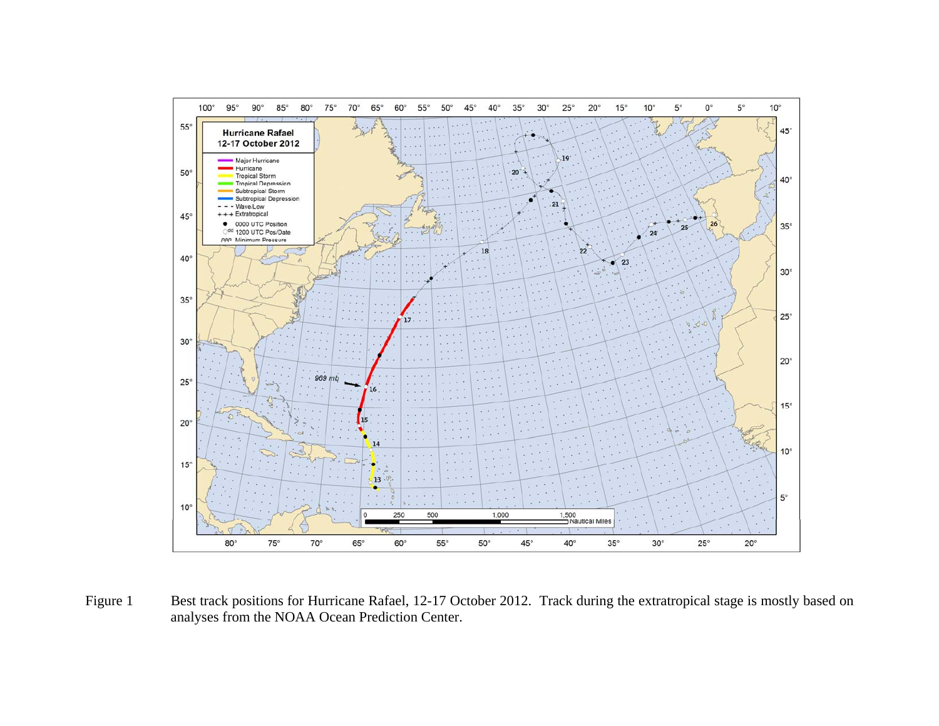

Figure 1 Best track positions for Hurricane Rafael, 12-17 October 2012. Track during the extratropical stage is mostly based on analyses from the NOAA Ocean Prediction Center.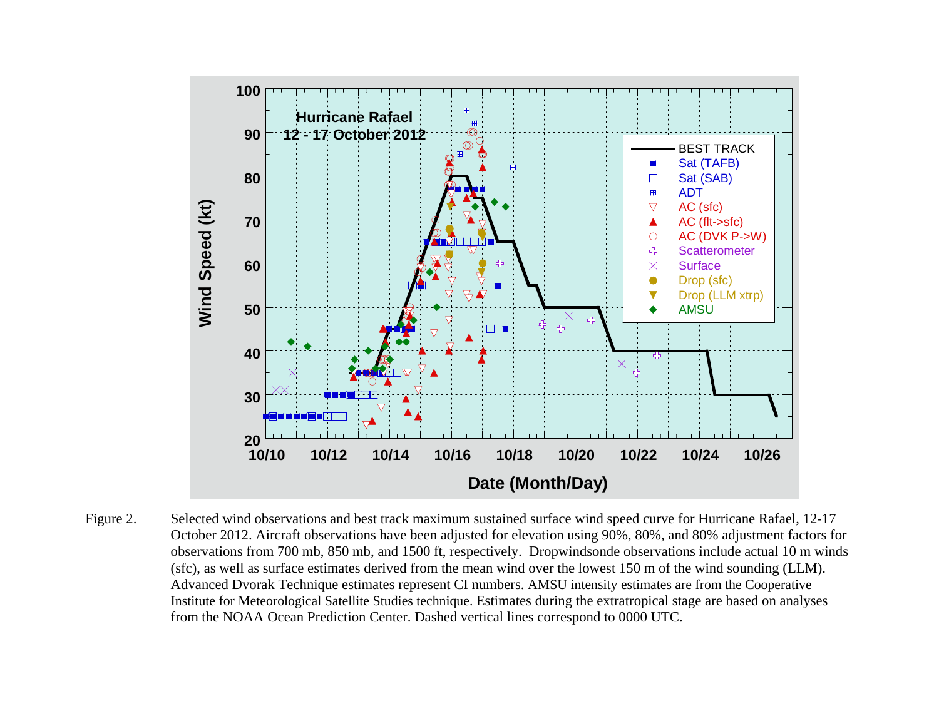

Figure 2. Selected wind observations and best track maximum sustained surface wind speed curve for Hurricane Rafael, 12-17 October 2012. Aircraft observations have been adjusted for elevation using 90%, 80%, and 80% adjustment factors for observations from 700 mb, 850 mb, and 1500 ft, respectively. Dropwindsonde observations include actual 10 m winds (sfc), as well as surface estimates derived from the mean wind over the lowest 150 m of the wind sounding (LLM). Advanced Dvorak Technique estimates represent CI numbers. AMSU intensity estimates are from the Cooperative Institute for Meteorological Satellite Studies technique. Estimates during the extratropical stage are based on analyses from the NOAA Ocean Prediction Center. Dashed vertical lines correspond to 0000 UTC.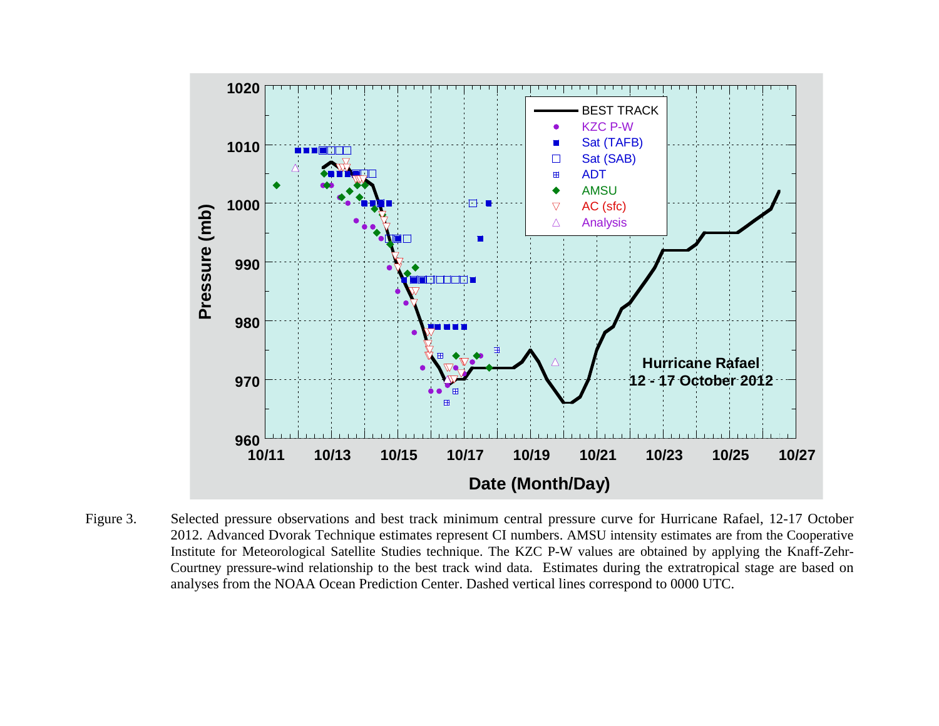

Figure 3. Selected pressure observations and best track minimum central pressure curve for Hurricane Rafael, 12-17 October 2012. Advanced Dvorak Technique estimates represent CI numbers. AMSU intensity estimates are from the Cooperative Institute for Meteorological Satellite Studies technique. The KZC P-W values are obtained by applying the Knaff-Zehr-Courtney pressure-wind relationship to the best track wind data. Estimates during the extratropical stage are based on analyses from the NOAA Ocean Prediction Center. Dashed vertical lines correspond to 0000 UTC.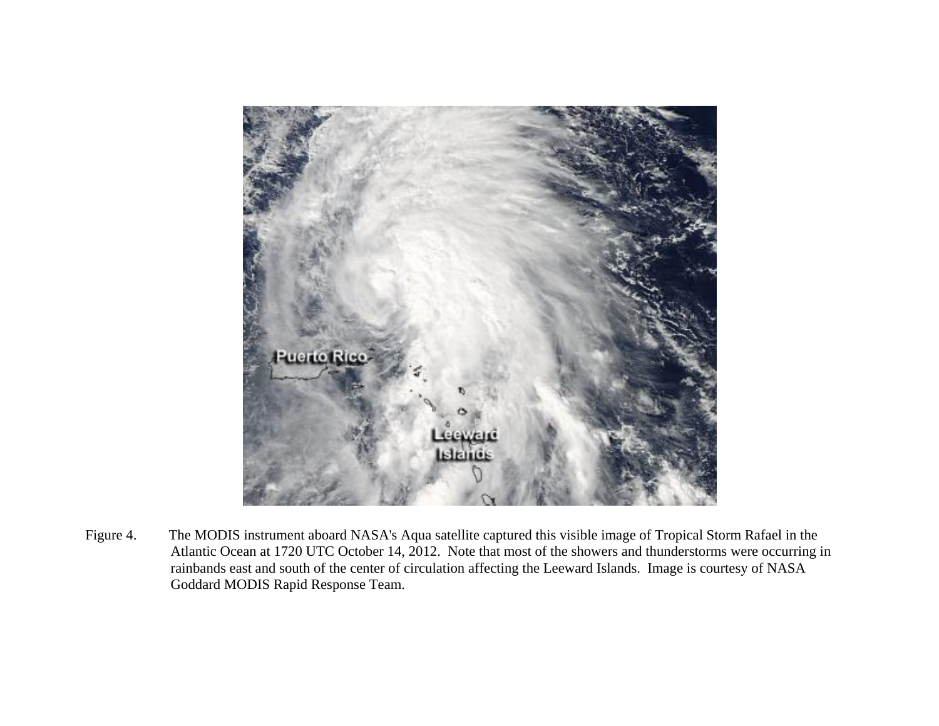

Figure 4. The MODIS instrument aboard NASA's Aqua satellite captured this visible image of Tropical Storm Rafael in the Atlantic Ocean at 1720 UTC October 14, 2012. Note that most of the showers and thunderstorms were occurring in rainbands east and south of the center of circulation affecting the Leeward Islands. Image is courtesy of NASA Goddard MODIS Rapid Response Team.